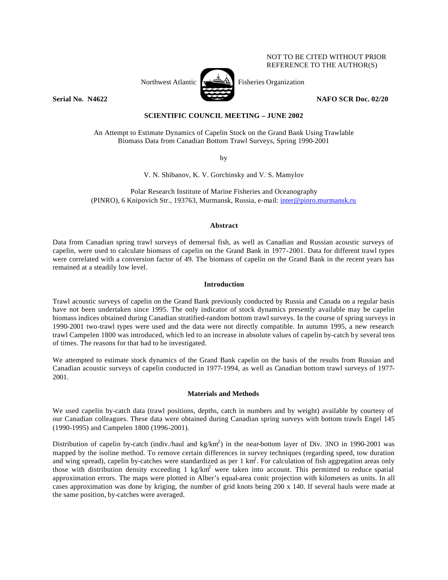# NOT TO BE CITED WITHOUT PRIOR REFERENCE TO THE AUTHOR(S)



Northwest Atlantic  $\left[\begin{array}{cc} \sqrt{2\pi} & \mbox{Fisheries Organization} \end{array}\right]$ 

**Serial No. N4622 NAFO SCR Doc. 02/20** 

# **SCIENTIFIC COUNCIL MEETING – JUNE 2002**

An Attempt to Estimate Dynamics of Capelin Stock on the Grand Bank Using Trawlable Biomass Data from Canadian Bottom Trawl Surveys, Spring 1990-2001

by

V. N. Shibanov, K. V. Gorchinsky and V. S. Mamylov

Polar Research Institute of Marine Fisheries and Oceanography (PINRO), 6 Knipovich Str., 193763, Murmansk, Russia, e-mail: inter@pinro.murmansk.ru

# **Abstract**

Data from Canadian spring trawl surveys of demersal fish, as well as Canadian and Russian acoustic surveys of capelin, were used to calculate biomass of capelin on the Grand Bank in 1977-2001. Data for different trawl types were correlated with a conversion factor of 49. The biomass of capelin on the Grand Bank in the recent years has remained at a steadily low level.

# **Introduction**

Trawl acoustic surveys of capelin on the Grand Bank previously conducted by Russia and Canada on a regular basis have not been undertaken since 1995. The only indicator of stock dynamics presently available may be capelin biomass indices obtained during Canadian stratified-random bottom trawl surveys. In the course of spring surveys in 1990-2001 two-trawl types were used and the data were not directly compatible. In autumn 1995, a new research trawl Campelen 1800 was introduced, which led to an increase in absolute values of capelin by-catch by several tens of times. The reasons for that had to be investigated.

We attempted to estimate stock dynamics of the Grand Bank capelin on the basis of the results from Russian and Canadian acoustic surveys of capelin conducted in 1977-1994, as well as Canadian bottom trawl surveys of 1977- 2001.

# **Materials and Methods**

We used capelin by-catch data (trawl positions, depths, catch in numbers and by weight) available by courtesy of our Canadian colleagues. These data were obtained during Canadian spring surveys with bottom trawls Engel 145 (1990-1995) and Campelen 1800 (1996-2001).

Distribution of capelin by-catch (indiv./haul and kg/km<sup>2</sup>) in the near-bottom layer of Div. 3NO in 1990-2001 was mapped by the isoline method. To remove certain differences in survey techniques (regarding speed, tow duration and wing spread), capelin by-catches were standardized as per  $1 \text{ km}^2$ . For calculation of fish aggregation areas only those with distribution density exceeding 1 kg/km<sup>2</sup> were taken into account. This permitted to reduce spatial approximation errors. The maps were plotted in Alber's equal-area conic projection with kilometers as units. In all cases approximation was done by kriging, the number of grid knots being 200 x 140. If several hauls were made at the same position, by-catches were averaged.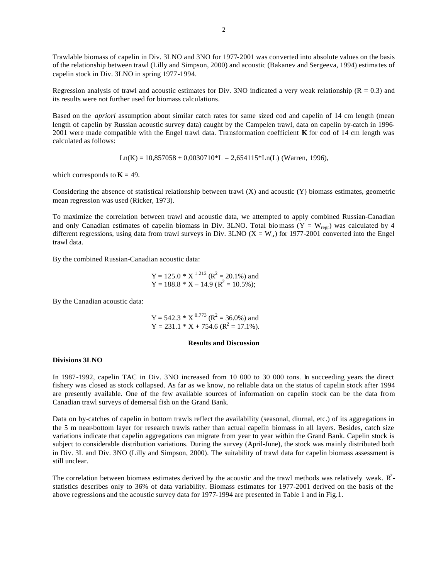Trawlable biomass of capelin in Div. 3LNO and 3NO for 1977-2001 was converted into absolute values on the basis of the relationship between trawl (Lilly and Simpson, 2000) and acoustic (Bakanev and Sergeeva, 1994) estimates of capelin stock in Div. 3LNO in spring 1977-1994.

Regression analysis of trawl and acoustic estimates for Div. 3NO indicated a very weak relationship ( $R = 0.3$ ) and its results were not further used for biomass calculations.

Based on the *apriori* assumption about similar catch rates for same sized cod and capelin of 14 cm length (mean length of capelin by Russian acoustic survey data) caught by the Campelen trawl, data on capelin by-catch in 1996- 2001 were made compatible with the Engel trawl data. Transformation coefficient **K** for cod of 14 cm length was calculated as follows:

 $Ln(K) = 10,857058 + 0,0030710*L - 2,654115*Ln(L)$  (Warren, 1996),

which corresponds to  $K = 49$ .

Considering the absence of statistical relationship between trawl (X) and acoustic (Y) biomass estimates, geometric mean regression was used (Ricker, 1973).

To maximize the correlation between trawl and acoustic data, we attempted to apply combined Russian-Canadian and only Canadian estimates of capelin biomass in Div. 3LNO. Total biomass ( $Y = W_{\text{regr}}$ ) was calculated by 4 different regressions, using data from trawl surveys in Div. 3LNO ( $X = W<sub>tr</sub>$ ) for 1977-2001 converted into the Engel trawl data.

By the combined Russian-Canadian acoustic data:

 $Y = 125.0 * X^{1.212} (R^2 = 20.1%)$  and  $Y = 188.8 * X - 14.9 (R<sup>2</sup> = 10.5%)$ ;

By the Canadian acoustic data:

 $Y = 542.3 * X^{0.773}$  ( $R^2 = 36.0\%$ ) and  $Y = 231.1 * X + 754.6$  ( $R^2 = 17.1\%$ ).

#### **Results and Discussion**

#### **Divisions 3LNO**

In 1987-1992, capelin TAC in Div. 3NO increased from 10 000 to 30 000 tons. In succeeding years the direct fishery was closed as stock collapsed. As far as we know, no reliable data on the status of capelin stock after 1994 are presently available. One of the few available sources of information on capelin stock can be the data from Canadian trawl surveys of demersal fish on the Grand Bank.

Data on by-catches of capelin in bottom trawls reflect the availability (seasonal, diurnal, etc.) of its aggregations in the 5 m near-bottom layer for research trawls rather than actual capelin biomass in all layers. Besides, catch size variations indicate that capelin aggregations can migrate from year to year within the Grand Bank. Capelin stock is subject to considerable distribution variations. During the survey (April-June), the stock was mainly distributed both in Div. 3L and Div. 3NO (Lilly and Simpson, 2000). The suitability of trawl data for capelin biomass assessment is still unclear.

The correlation between biomass estimates derived by the acoustic and the trawl methods was relatively weak.  $R^2$ statistics describes only to 36% of data variability. Biomass estimates for 1977-2001 derived on the basis of the above regressions and the acoustic survey data for 1977-1994 are presented in Table 1 and in Fig.1.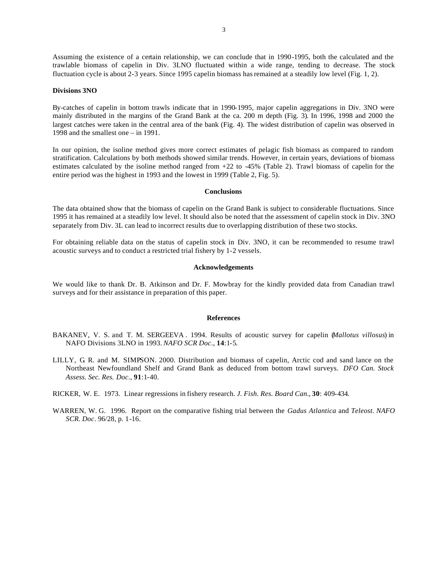Assuming the existence of a certain relationship, we can conclude that in 1990-1995, both the calculated and the trawlable biomass of capelin in Div. 3LNO fluctuated within a wide range, tending to decrease. The stock fluctuation cycle is about 2-3 years. Since 1995 capelin biomass has remained at a steadily low level (Fig. 1, 2).

# **Divisions 3NO**

By-catches of capelin in bottom trawls indicate that in 1990-1995, major capelin aggregations in Div. 3NO were mainly distributed in the margins of the Grand Bank at the ca. 200 m depth (Fig. 3). In 1996, 1998 and 2000 the largest catches were taken in the central area of the bank (Fig. 4). The widest distribution of capelin was observed in 1998 and the smallest one – in 1991.

In our opinion, the isoline method gives more correct estimates of pelagic fish biomass as compared to random stratification. Calculations by both methods showed similar trends. However, in certain years, deviations of biomass estimates calculated by the isoline method ranged from +22 to -45% (Table 2). Trawl biomass of capelin for the entire period was the highest in 1993 and the lowest in 1999 (Table 2, Fig. 5).

#### **Conclusions**

The data obtained show that the biomass of capelin on the Grand Bank is subject to considerable fluctuations. Since 1995 it has remained at a steadily low level. It should also be noted that the assessment of capelin stock in Div. 3NO separately from Div. 3L can lead to incorrect results due to overlapping distribution of these two stocks.

For obtaining reliable data on the status of capelin stock in Div. 3NO, it can be recommended to resume trawl acoustic surveys and to conduct a restricted trial fishery by 1-2 vessels.

# **Acknowledgements**

We would like to thank Dr. B. Atkinson and Dr. F. Mowbray for the kindly provided data from Canadian trawl surveys and for their assistance in preparation of this paper.

#### **References**

- BAKANEV, V. S. and T. M. SERGEEVA . 1994. Results of acoustic survey for capelin (*Mallotus villosus*) in NAFO Divisions 3LNO in 1993. *NAFO SCR Doc*., **14**:1-5.
- LILLY, G. R. and M. SIMPSON. 2000. Distribution and biomass of capelin, Arctic cod and sand lance on the Northeast Newfoundland Shelf and Grand Bank as deduced from bottom trawl surveys. *DFO Can. Stock Assess. Sec. Res. Doc*., **91**:1-40.

RICKER, W. E. 1973. Linear regressions in fishery research. *J. Fish. Res. Board Can*., **30**: 409-434.

WARREN, W. G. 1996. Report on the comparative fishing trial between the *Gadus Atlantica* and *Teleost*. *NAFO SCR. Doc*. 96/28, p. 1-16.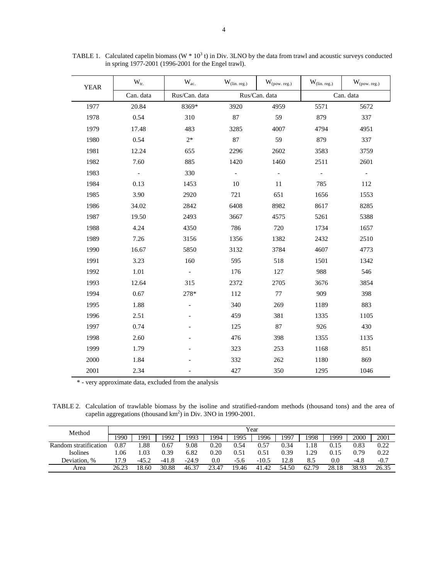| <b>YEAR</b> | $W_{tr.}$                | $W_{ac.}$     | $\mathbf{W}_{(\text{lin. reg.})}$ | $W_{(pow.\,reg.)}$       | $W_{(lin. reg.)}$ | $W_{(pow.\,reg.)}$       |  |
|-------------|--------------------------|---------------|-----------------------------------|--------------------------|-------------------|--------------------------|--|
|             | Can. data                | Rus/Can. data |                                   | Rus/Can. data            | Can. data         |                          |  |
| 1977        | 20.84                    | 8369*         | 3920                              | 4959                     | 5571              | 5672                     |  |
| 1978        | 0.54                     | 310           | 87                                | 59                       | 879               | 337                      |  |
| 1979        | 17.48                    | 483           | 3285                              | 4007                     | 4794              | 4951                     |  |
| 1980        | 0.54                     | $2*$          | 87                                | 59                       | 879               | 337                      |  |
| 1981        | 12.24                    | 655           | 2296                              | 2602                     | 3583              | 3759                     |  |
| 1982        | 7.60                     | 885           | 1420                              | 1460                     | 2511              | 2601                     |  |
| 1983        | $\overline{\phantom{a}}$ | 330           | $\overline{\phantom{m}}$          | $\overline{\phantom{a}}$ |                   | $\overline{\phantom{a}}$ |  |
| 1984        | 0.13                     | 1453          | 10                                | 11                       | 785               | 112                      |  |
| 1985        | 3.90                     | 2920          | 721                               | 651                      | 1656              | 1553                     |  |
| 1986        | 34.02                    | 2842          | 6408                              | 8982                     | 8617              | 8285                     |  |
| 1987        | 19.50                    | 2493          | 3667                              | 4575                     | 5261              | 5388                     |  |
| 1988        | 4.24                     | 4350          | 786                               | 720                      | 1734              | 1657                     |  |
| 1989        | 7.26                     | 3156          | 1356                              | 1382                     | 2432              | 2510                     |  |
| 1990        | 16.67                    | 5850          | 3132                              | 3784                     | 4607              | 4773                     |  |
| 1991        | 3.23                     | 160           | 595                               | 518                      | 1501              | 1342                     |  |
| 1992        | 1.01                     |               | 176                               | 127                      | 988               | 546                      |  |
| 1993        | 12.64                    | 315           | 2372                              | 2705                     | 3676              | 3854                     |  |
| 1994        | 0.67                     | 278*          | 112                               | 77                       | 909               | 398                      |  |
| 1995        | 1.88                     |               | 340                               | 269                      | 1189              | 883                      |  |
| 1996        | 2.51                     |               | 459                               | 381                      | 1335              | 1105                     |  |
| 1997        | 0.74                     |               | 125                               | 87                       | 926               | 430                      |  |
| 1998        | 2.60                     |               | 476                               | 398                      | 1355              | 1135                     |  |
| 1999        | 1.79                     |               | 323                               | 253                      | 1168              | 851                      |  |
| 2000        | 1.84                     |               | 332                               | 262                      | 1180              | 869                      |  |
| 2001        | 2.34                     |               | 427                               | 350                      | 1295              | 1046                     |  |

TABLE 1. Calculated capelin biomass ( $W * 10<sup>3</sup>$  t) in Div. 3LNO by the data from trawl and acoustic surveys conducted in spring 1977-2001 (1996-2001 for the Engel trawl).

\* - very approximate data, excluded from the analysis

TABLE 2. Calculation of trawlable biomass by the isoline and stratified-random methods (thousand tons) and the area of capelin aggregations (thousand  $km^2$ ) in Div. 3NO in 1990-2001.

| Method                | Year  |         |         |         |       |        |         |       |       |         |       |        |
|-----------------------|-------|---------|---------|---------|-------|--------|---------|-------|-------|---------|-------|--------|
|                       | 990   | 1991    | 1992    | 1993    | 1994  | 1995   | .996    | 1997  | .998  | 1999    | 2000  | 2001   |
| Random stratification | 0.87  | .88     | 0.67    | 9.08    | 0.20  | 0.54   | 0.57    | 0.34  | .18   | 0.15    | 0.83  | 0.22   |
| <b>Isolines</b>       | .06   | .03     | 0.39    | 6.82    | 0.20  | 0.51   | 0.51    | 0.39  | .29   | 0.15    | 0.79  | 0.22   |
| Deviation, %          | 17.9  | $-45.2$ | $-41.8$ | $-24.9$ | 0.0   | $-5.6$ | $-10.5$ | 12.8  | 8.5   | $0.0\,$ | -4.8  | $-0.7$ |
| Area                  | 26.23 | 18.60   | 30.88   | 46.37   | 23.47 | 19.46  | 41.42   | 54.50 | 62.79 | 28.18   | 38.93 | 26.35  |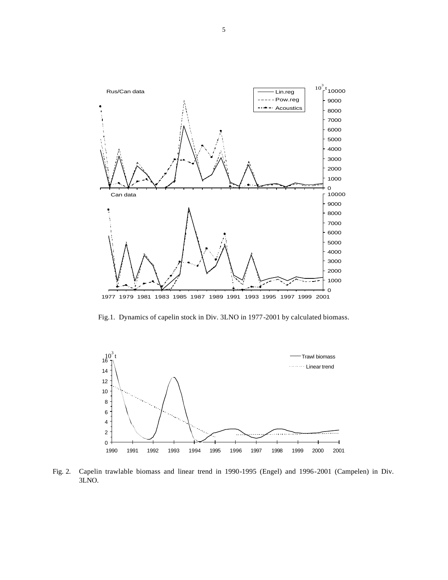

Fig.1. Dynamics of capelin stock in Div. 3LNO in 1977-2001 by calculated biomass.



Fig. 2. Capelin trawlable biomass and linear trend in 1990-1995 (Engel) and 1996-2001 (Campelen) in Div. 3LNO.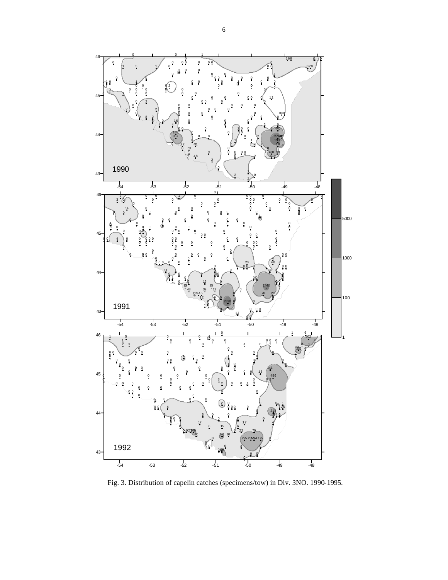

Fig. 3. Distribution of capelin catches (specimens/tow) in Div. 3NO. 1990-1995.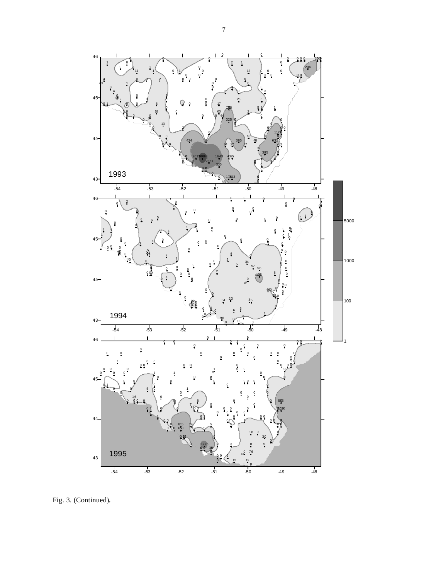

Fig. 3. (Continued).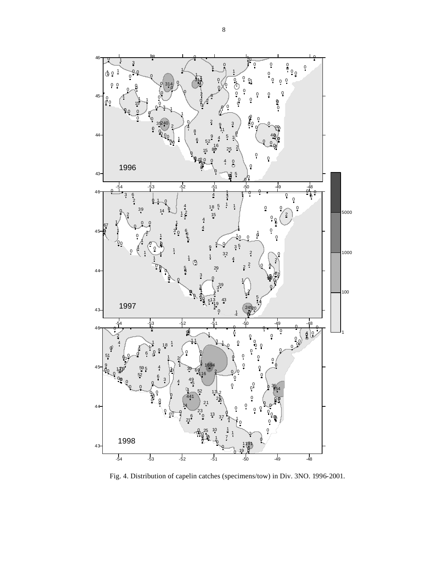

Fig. 4. Distribution of capelin catches (specimens/tow) in Div. 3NO. 1996-2001.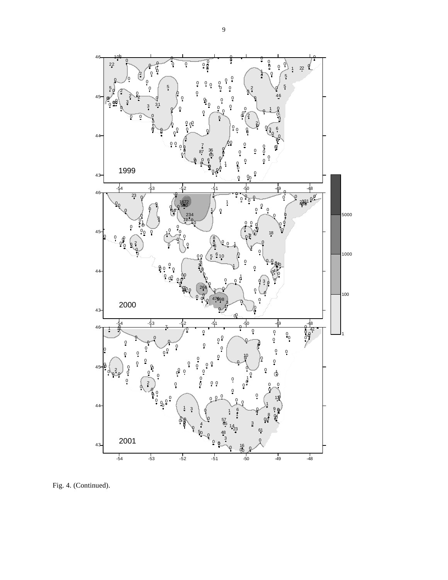

Fig. 4. (Continued).